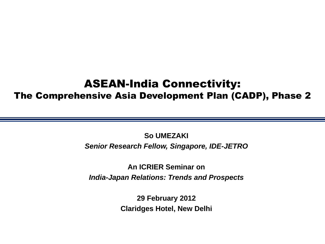#### ASEAN-India Connectivity: The Comprehensive Asia Development Plan (CADP), Phase 2

**So UMEZAKI** *Senior Research Fellow, Singapore, IDE-JETRO*

**An ICRIER Seminar on** *India-Japan Relations: Trends and Prospects*

> **29 February 2012 Claridges Hotel, New Delhi**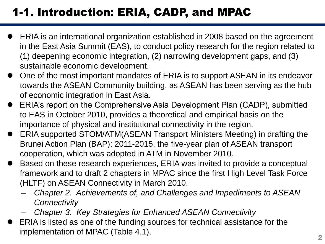# 1-1. Introduction: ERIA, CADP, and MPAC

- ERIA is an international organization established in 2008 based on the agreement in the East Asia Summit (EAS), to conduct policy research for the region related to (1) deepening economic integration, (2) narrowing development gaps, and (3) sustainable economic development.
- One of the most important mandates of ERIA is to support ASEAN in its endeavor towards the ASEAN Community building, as ASEAN has been serving as the hub of economic integration in East Asia.
- ERIA's report on the Comprehensive Asia Development Plan (CADP), submitted to EAS in October 2010, provides a theoretical and empirical basis on the importance of physical and institutional connectivity in the region.
- ERIA supported STOM/ATM(ASEAN Transport Ministers Meeting) in drafting the Brunei Action Plan (BAP): 2011-2015, the five-year plan of ASEAN transport cooperation, which was adopted in ATM in November 2010.
- Based on these research experiences, ERIA was invited to provide a conceptual framework and to draft 2 chapters in MPAC since the first High Level Task Force (HLTF) on ASEAN Connectivity in March 2010.
	- *Chapter 2. Achievements of, and Challenges and Impediments to ASEAN Connectivity*
	- *Chapter 3. Key Strategies for Enhanced ASEAN Connectivity*
- ERIA is listed as one of the funding sources for technical assistance for the implementation of MPAC (Table 4.1).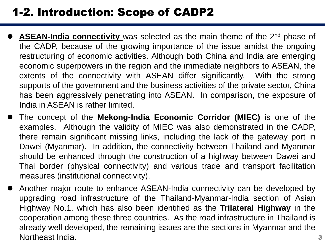## 1-2. Introduction: Scope of CADP2

- **ASEAN-India connectivity** was selected as the main theme of the 2<sup>nd</sup> phase of the CADP, because of the growing importance of the issue amidst the ongoing restructuring of economic activities. Although both China and India are emerging economic superpowers in the region and the immediate neighbors to ASEAN, the extents of the connectivity with ASEAN differ significantly. With the strong supports of the government and the business activities of the private sector, China has been aggressively penetrating into ASEAN. In comparison, the exposure of India in ASEAN is rather limited.
- The concept of the **Mekong-India Economic Corridor (MIEC)** is one of the examples. Although the validity of MIEC was also demonstrated in the CADP, there remain significant missing links, including the lack of the gateway port in Dawei (Myanmar). In addition, the connectivity between Thailand and Myanmar should be enhanced through the construction of a highway between Dawei and Thai border (physical connectivity) and various trade and transport facilitation measures (institutional connectivity).
- Another major route to enhance ASEAN-India connectivity can be developed by upgrading road infrastructure of the Thailand-Myanmar-India section of Asian Highway No.1, which has also been identified as the **Trilateral Highway** in the cooperation among these three countries. As the road infrastructure in Thailand is already well developed, the remaining issues are the sections in Myanmar and the Northeast India. 3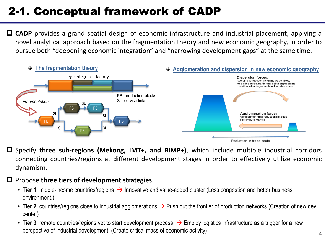# 2-1. Conceptual framework of CADP

 **CADP** provides a grand spatial design of economic infrastructure and industrial placement, applying a novel analytical approach based on the fragmentation theory and new economic geography, in order to pursue both "deepening economic integration" and "narrowing development gaps" at the same time.



- Specify **three sub-regions (Mekong, IMT+, and BIMP+)**, which include multiple industrial corridors connecting countries/regions at different development stages in order to effectively utilize economic dynamism.
- Propose **three tiers of development strategies**.
	- Tier 1: middle-income countries/regions  $\rightarrow$  Innovative and value-added cluster (Less congestion and better business environment.)
	- Tier 2: countries/regions close to industrial agglomerations  $\rightarrow$  Push out the frontier of production networks (Creation of new dev. center)
	- Tier 3: remote countries/regions yet to start development process  $\rightarrow$  Employ logistics infrastructure as a trigger for a new perspective of industrial development. (Create critical mass of economic activity)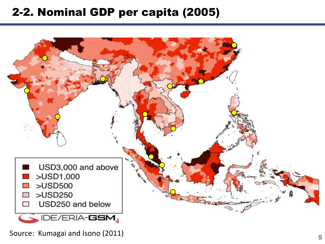#### 2-2. Nominal GDP per capita (2005)



Source: Kumagai and Isono (2011)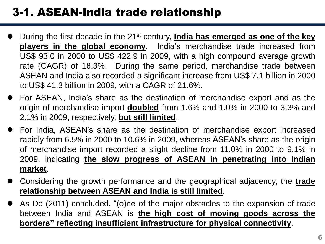## 3-1. ASEAN-India trade relationship

- During the first decade in the 21st century, **India has emerged as one of the key players in the global economy**. India's merchandise trade increased from US\$ 93.0 in 2000 to US\$ 422.9 in 2009, with a high compound average growth rate (CAGR) of 18.3%. During the same period, merchandise trade between ASEAN and India also recorded a significant increase from US\$ 7.1 billion in 2000 to US\$ 41.3 billion in 2009, with a CAGR of 21.6%.
- For ASEAN, India's share as the destination of merchandise export and as the origin of merchandise import **doubled** from 1.6% and 1.0% in 2000 to 3.3% and 2.1% in 2009, respectively, **but still limited**.
- For India, ASEAN's share as the destination of merchandise export increased rapidly from 6.5% in 2000 to 10.6% in 2009, whereas ASEAN's share as the origin of merchandise import recorded a slight decline from 11.0% in 2000 to 9.1% in 2009, indicating **the slow progress of ASEAN in penetrating into Indian market**.
- Considering the growth performance and the geographical adjacency, the **trade relationship between ASEAN and India is still limited**.
- As De (2011) concluded, "(o)ne of the major obstacles to the expansion of trade between India and ASEAN is **the high cost of moving goods across the borders" reflecting insufficient infrastructure for physical connectivity**.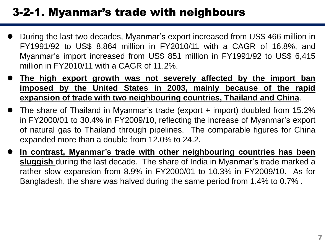### 3-2-1. Myanmar's trade with neighbours

- During the last two decades, Myanmar's export increased from US\$ 466 million in FY1991/92 to US\$ 8,864 million in FY2010/11 with a CAGR of 16.8%, and Myanmar's import increased from US\$ 851 million in FY1991/92 to US\$ 6,415 million in FY2010/11 with a CAGR of 11.2%.
- **The high export growth was not severely affected by the import ban imposed by the United States in 2003, mainly because of the rapid expansion of trade with two neighbouring countries, Thailand and China**.
- The share of Thailand in Myanmar's trade (export + import) doubled from 15.2% in FY2000/01 to 30.4% in FY2009/10, reflecting the increase of Myanmar's export of natural gas to Thailand through pipelines. The comparable figures for China expanded more than a double from 12.0% to 24.2.
- **In contrast, Myanmar's trade with other neighbouring countries has been sluggish** during the last decade. The share of India in Myanmar's trade marked a rather slow expansion from 8.9% in FY2000/01 to 10.3% in FY2009/10. As for Bangladesh, the share was halved during the same period from 1.4% to 0.7% .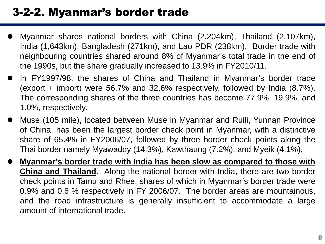#### 3-2-2. Myanmar's border trade

- Myanmar shares national borders with China (2,204km), Thailand (2,107km), India (1,643km), Bangladesh (271km), and Lao PDR (238km). Border trade with neighbouring countries shared around 8% of Myanmar's total trade in the end of the 1990s, but the share gradually increased to 13.9% in FY2010/11.
- In FY1997/98, the shares of China and Thailand in Myanmar's border trade (export + import) were 56.7% and 32.6% respectively, followed by India (8.7%). The corresponding shares of the three countries has become 77.9%, 19.9%, and 1.0%, respectively.
- Muse (105 mile), located between Muse in Myanmar and Ruili, Yunnan Province of China, has been the largest border check point in Myanmar, with a distinctive share of 65.4% in FY2006/07, followed by three border check points along the Thai border namely Myawaddy (14.3%), Kawthaung (7.2%), and Myeik (4.1%).
- **Myanmar's border trade with India has been slow as compared to those with China and Thailand**. Along the national border with India, there are two border check points in Tamu and Rhee, shares of which in Myanmar's border trade were 0.9% and 0.6 % respectively in FY 2006/07. The border areas are mountainous, and the road infrastructure is generally insufficient to accommodate a large amount of international trade.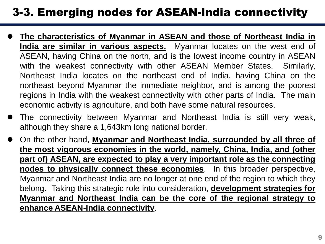## 3-3. Emerging nodes for ASEAN-India connectivity

- **The characteristics of Myanmar in ASEAN and those of Northeast India in India are similar in various aspects.** Myanmar locates on the west end of ASEAN, having China on the north, and is the lowest income country in ASEAN with the weakest connectivity with other ASEAN Member States. Similarly, Northeast India locates on the northeast end of India, having China on the northeast beyond Myanmar the immediate neighbor, and is among the poorest regions in India with the weakest connectivity with other parts of India. The main economic activity is agriculture, and both have some natural resources.
- The connectivity between Myanmar and Northeast India is still very weak, although they share a 1,643km long national border.
- On the other hand, **Myanmar and Northeast India, surrounded by all three of the most vigorous economies in the world, namely, China, India, and (other part of) ASEAN, are expected to play a very important role as the connecting nodes to physically connect these economies**. In this broader perspective, Myanmar and Northeast India are no longer at one end of the region to which they belong. Taking this strategic role into consideration, **development strategies for Myanmar and Northeast India can be the core of the regional strategy to enhance ASEAN-India connectivity**.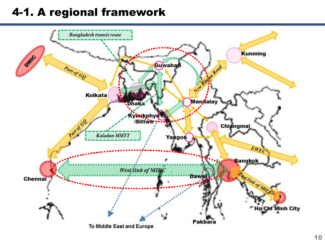#### 4-1. A regional framework

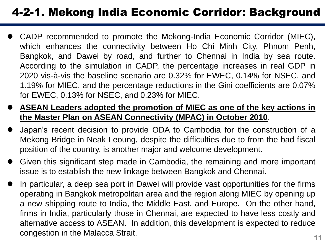# 4-2-1. Mekong India Economic Corridor: Background

- CADP recommended to promote the Mekong-India Economic Corridor (MIEC), which enhances the connectivity between Ho Chi Minh City, Phnom Penh, Bangkok, and Dawei by road, and further to Chennai in India by sea route. According to the simulation in CADP, the percentage increases in real GDP in 2020 vis-à-vis the baseline scenario are 0.32% for EWEC, 0.14% for NSEC, and 1.19% for MIEC, and the percentage reductions in the Gini coefficients are 0.07% for EWEC, 0.13% for NSEC, and 0.23% for MIEC.
- **ASEAN Leaders adopted the promotion of MIEC as one of the key actions in the Master Plan on ASEAN Connectivity (MPAC) in October 2010**.
- Japan's recent decision to provide ODA to Cambodia for the construction of a Mekong Bridge in Neak Leoung, despite the difficulties due to from the bad fiscal position of the country, is another major and welcome development.
- Given this significant step made in Cambodia, the remaining and more important issue is to establish the new linkage between Bangkok and Chennai.
- In particular, a deep sea port in Dawei will provide vast opportunities for the firms operating in Bangkok metropolitan area and the region along MIEC by opening up a new shipping route to India, the Middle East, and Europe. On the other hand, firms in India, particularly those in Chennai, are expected to have less costly and alternative access to ASEAN. In addition, this development is expected to reduce congestion in the Malacca Strait.  $11$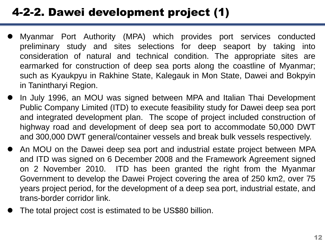# 4-2-2. Dawei development project (1)

- Myanmar Port Authority (MPA) which provides port services conducted preliminary study and sites selections for deep seaport by taking into consideration of natural and technical condition. The appropriate sites are earmarked for construction of deep sea ports along the coastline of Myanmar; such as Kyaukpyu in Rakhine State, Kalegauk in Mon State, Dawei and Bokpyin in Tanintharyi Region.
- In July 1996, an MOU was signed between MPA and Italian Thai Development Public Company Limited (ITD) to execute feasibility study for Dawei deep sea port and integrated development plan. The scope of project included construction of highway road and development of deep sea port to accommodate 50,000 DWT and 300,000 DWT general/container vessels and break bulk vessels respectively.
- An MOU on the Dawei deep sea port and industrial estate project between MPA and ITD was signed on 6 December 2008 and the Framework Agreement signed on 2 November 2010. ITD has been granted the right from the Myanmar Government to develop the Dawei Project covering the area of 250 km2, over 75 years project period, for the development of a deep sea port, industrial estate, and trans-border corridor link.
- The total project cost is estimated to be US\$80 billion.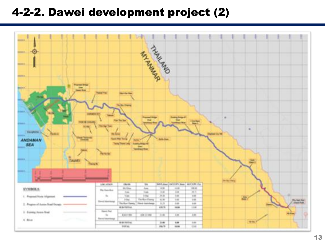#### 4-2-2. Dawei development project (2)

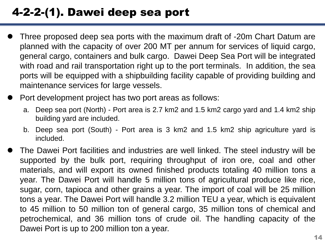# 4-2-2-(1). Dawei deep sea port

- Three proposed deep sea ports with the maximum draft of -20m Chart Datum are planned with the capacity of over 200 MT per annum for services of liquid cargo, general cargo, containers and bulk cargo. Dawei Deep Sea Port will be integrated with road and rail transportation right up to the port terminals. In addition, the sea ports will be equipped with a shipbuilding facility capable of providing building and maintenance services for large vessels.
- Port development project has two port areas as follows:
	- a. Deep sea port (North) Port area is 2.7 km2 and 1.5 km2 cargo yard and 1.4 km2 ship building yard are included.
	- b. Deep sea port (South) Port area is 3 km2 and 1.5 km2 ship agriculture yard is included.
- The Dawei Port facilities and industries are well linked. The steel industry will be supported by the bulk port, requiring throughput of iron ore, coal and other materials, and will export its owned finished products totaling 40 million tons a year. The Dawei Port will handle 5 million tons of agricultural produce like rice, sugar, corn, tapioca and other grains a year. The import of coal will be 25 million tons a year. The Dawei Port will handle 3.2 million TEU a year, which is equivalent to 45 million to 50 million ton of general cargo, 35 million tons of chemical and petrochemical, and 36 million tons of crude oil. The handling capacity of the Dawei Port is up to 200 million ton a year.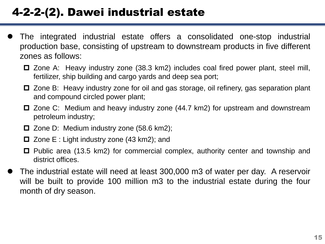# 4-2-2-(2). Dawei industrial estate

- The integrated industrial estate offers a consolidated one-stop industrial production base, consisting of upstream to downstream products in five different zones as follows:
	- Zone A: Heavy industry zone (38.3 km2) includes coal fired power plant, steel mill, fertilizer, ship building and cargo yards and deep sea port;
	- $\Box$  Zone B: Heavy industry zone for oil and gas storage, oil refinery, gas separation plant and compound circled power plant;
	- □ Zone C: Medium and heavy industry zone (44.7 km2) for upstream and downstream petroleum industry;
	- $\Box$  Zone D: Medium industry zone (58.6 km2);
	- $\Box$  Zone E : Light industry zone (43 km2); and
	- Public area (13.5 km2) for commercial complex, authority center and township and district offices.
- The industrial estate will need at least 300,000 m3 of water per day. A reservoir will be built to provide 100 million m3 to the industrial estate during the four month of dry season.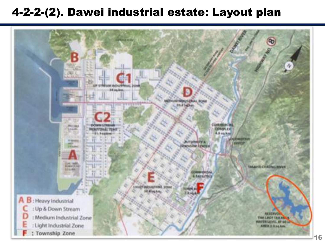#### 4-2-2-(2). Dawei industrial estate: Layout plan

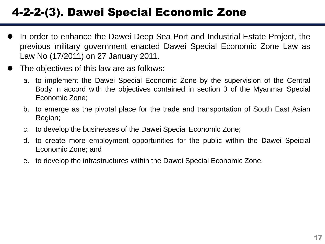# 4-2-2-(3). Dawei Special Economic Zone

- In order to enhance the Dawei Deep Sea Port and Industrial Estate Project, the previous military government enacted Dawei Special Economic Zone Law as Law No (17/2011) on 27 January 2011.
- The objectives of this law are as follows:
	- a. to implement the Dawei Special Economic Zone by the supervision of the Central Body in accord with the objectives contained in section 3 of the Myanmar Special Economic Zone;
	- b. to emerge as the pivotal place for the trade and transportation of South East Asian Region;
	- c. to develop the businesses of the Dawei Special Economic Zone;
	- d. to create more employment opportunities for the public within the Dawei Speicial Economic Zone; and
	- e. to develop the infrastructures within the Dawei Special Economic Zone.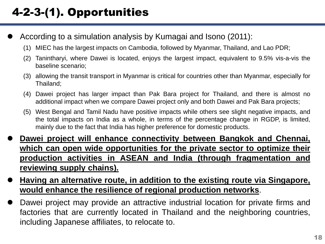- According to a simulation analysis by Kumagai and Isono (2011):
	- (1) MIEC has the largest impacts on Cambodia, followed by Myanmar, Thailand, and Lao PDR;
	- (2) Tanintharyi, where Dawei is located, enjoys the largest impact, equivalent to 9.5% vis-a-vis the baseline scenario;
	- (3) allowing the transit transport in Myanmar is critical for countries other than Myanmar, especially for Thailand;
	- (4) Dawei project has larger impact than Pak Bara project for Thailand, and there is almost no additional impact when we compare Dawei project only and both Dawei and Pak Bara projects;
	- (5) West Bengal and Tamil Nadu have positive impacts while others see slight negative impacts, and the total impacts on India as a whole, in terms of the percentage change in RGDP, is limited, mainly due to the fact that India has higher preference for domestic products.
- **Dawei project will enhance connectivity between Bangkok and Chennai, which can open wide opportunities for the private sector to optimize their production activities in ASEAN and India (through fragmentation and reviewing supply chains).**
- **Having an alternative route, in addition to the existing route via Singapore, would enhance the resilience of regional production networks**.
- Dawei project may provide an attractive industrial location for private firms and factories that are currently located in Thailand and the neighboring countries, including Japanese affiliates, to relocate to.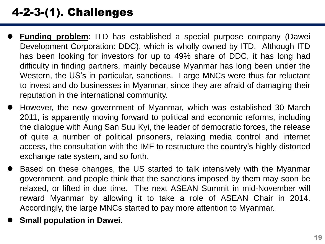# 4-2-3-(1). Challenges

- **Funding problem**: ITD has established a special purpose company (Dawei Development Corporation: DDC), which is wholly owned by ITD. Although ITD has been looking for investors for up to 49% share of DDC, it has long had difficulty in finding partners, mainly because Myanmar has long been under the Western, the US's in particular, sanctions. Large MNCs were thus far reluctant to invest and do businesses in Myanmar, since they are afraid of damaging their reputation in the international community.
- However, the new government of Myanmar, which was established 30 March 2011, is apparently moving forward to political and economic reforms, including the dialogue with Aung San Suu Kyi, the leader of democratic forces, the release of quite a number of political prisoners, relaxing media control and internet access, the consultation with the IMF to restructure the country's highly distorted exchange rate system, and so forth.
- Based on these changes, the US started to talk intensively with the Myanmar government, and people think that the sanctions imposed by them may soon be relaxed, or lifted in due time. The next ASEAN Summit in mid-November will reward Myanmar by allowing it to take a role of ASEAN Chair in 2014. Accordingly, the large MNCs started to pay more attention to Myanmar.
- **Small population in Dawei.**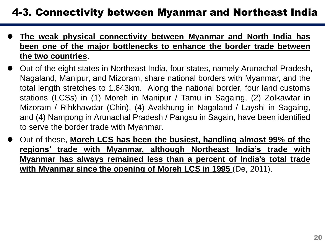#### 4-3. Connectivity between Myanmar and Northeast India

- **The weak physical connectivity between Myanmar and North India has been one of the major bottlenecks to enhance the border trade between the two countries**.
- Out of the eight states in Northeast India, four states, namely Arunachal Pradesh, Nagaland, Manipur, and Mizoram, share national borders with Myanmar, and the total length stretches to 1,643km. Along the national border, four land customs stations (LCSs) in (1) Moreh in Manipur / Tamu in Sagaing, (2) Zolkawtar in Mizoram / Rihkhawdar (Chin), (4) Avakhung in Nagaland / Layshi in Sagaing, and (4) Nampong in Arunachal Pradesh / Pangsu in Sagain, have been identified to serve the border trade with Myanmar.
- Out of these, **Moreh LCS has been the busiest, handling almost 99% of the regions' trade with Myanmar, although Northeast India's trade with Myanmar has always remained less than a percent of India's total trade with Myanmar since the opening of Moreh LCS in 1995** (De, 2011).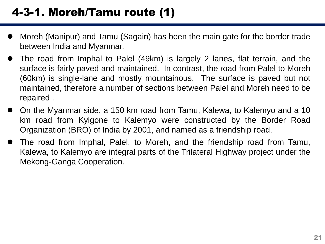- Moreh (Manipur) and Tamu (Sagain) has been the main gate for the border trade between India and Myanmar.
- The road from Imphal to Palel (49km) is largely 2 lanes, flat terrain, and the surface is fairly paved and maintained. In contrast, the road from Palel to Moreh (60km) is single-lane and mostly mountainous. The surface is paved but not maintained, therefore a number of sections between Palel and Moreh need to be repaired .
- On the Myanmar side, a 150 km road from Tamu, Kalewa, to Kalemyo and a 10 km road from Kyigone to Kalemyo were constructed by the Border Road Organization (BRO) of India by 2001, and named as a friendship road.
- The road from Imphal, Palel, to Moreh, and the friendship road from Tamu, Kalewa, to Kalemyo are integral parts of the Trilateral Highway project under the Mekong-Ganga Cooperation.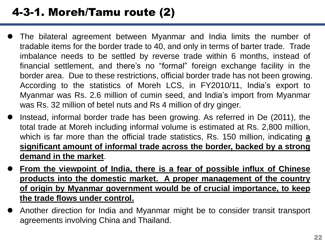# 4-3-1. Moreh/Tamu route (2)

- The bilateral agreement between Myanmar and India limits the number of tradable items for the border trade to 40, and only in terms of barter trade. Trade imbalance needs to be settled by reverse trade within 6 months, instead of financial settlement, and there's no "formal" foreign exchange facility in the border area. Due to these restrictions, official border trade has not been growing. According to the statistics of Moreh LCS, in FY2010/11, India's export to Myanmar was Rs. 2.6 million of cumin seed, and India's import from Myanmar was Rs. 32 million of betel nuts and Rs 4 million of dry ginger.
- Instead, informal border trade has been growing. As referred in De (2011), the total trade at Moreh including informal volume is estimated at Rs. 2,800 million, which is far more than the official trade statistics, Rs. 150 million, indicating **a significant amount of informal trade across the border, backed by a strong demand in the market**.
- **From the viewpoint of India, there is a fear of possible influx of Chinese products into the domestic market. A proper management of the country of origin by Myanmar government would be of crucial importance, to keep the trade flows under control.**
- Another direction for India and Myanmar might be to consider transit transport agreements involving China and Thailand.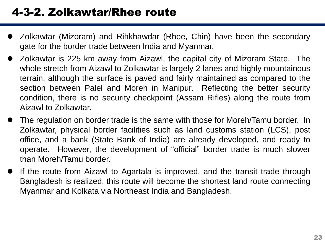- Zolkawtar (Mizoram) and Rihkhawdar (Rhee, Chin) have been the secondary gate for the border trade between India and Myanmar.
- Zolkawtar is 225 km away from Aizawl, the capital city of Mizoram State. The whole stretch from Aizawl to Zolkawtar is largely 2 lanes and highly mountainous terrain, although the surface is paved and fairly maintained as compared to the section between Palel and Moreh in Manipur. Reflecting the better security condition, there is no security checkpoint (Assam Rifles) along the route from Aizawl to Zolkawtar.
- The regulation on border trade is the same with those for Moreh/Tamu border. In Zolkawtar, physical border facilities such as land customs station (LCS), post office, and a bank (State Bank of India) are already developed, and ready to operate. However, the development of "official" border trade is much slower than Moreh/Tamu border.
- If the route from Aizawl to Agartala is improved, and the transit trade through Bangladesh is realized, this route will become the shortest land route connecting Myanmar and Kolkata via Northeast India and Bangladesh.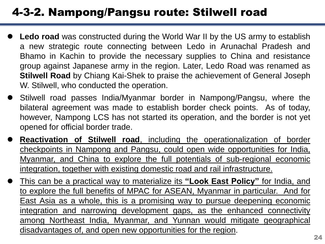## 4-3-2. Nampong/Pangsu route: Stilwell road

- **Ledo road** was constructed during the World War II by the US army to establish a new strategic route connecting between Ledo in Arunachal Pradesh and Bhamo in Kachin to provide the necessary supplies to China and resistance group against Japanese army in the region. Later, Ledo Road was renamed as **Stilwell Road** by Chiang Kai-Shek to praise the achievement of General Joseph W. Stilwell, who conducted the operation.
- Stilwell road passes India/Myanmar border in Nampong/Pangsu, where the bilateral agreement was made to establish border check points. As of today, however, Nampong LCS has not started its operation, and the border is not yet opened for official border trade.
- **Reactivation of Stilwell road**, including the operationalization of border checkpoints in Nampong and Pangsu, could open wide opportunities for India, Myanmar, and China to explore the full potentials of sub-regional economic integration, together with existing domestic road and rail infrastructure.
- This can be a practical way to materialize its **"Look East Policy"** for India, and to explore the full benefits of MPAC for ASEAN, Myanmar in particular. And for East Asia as a whole, this is a promising way to pursue deepening economic integration and narrowing development gaps, as the enhanced connectivity among Northeast India, Myanmar, and Yunnan would mitigate geographical disadvantages of, and open new opportunities for the region.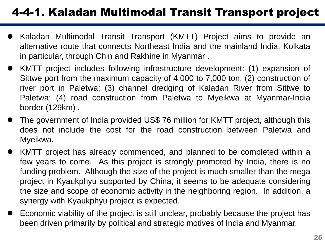# 4-4-1. Kaladan Multimodal Transit Transport project

- Kaladan Multimodal Transit Transport (KMTT) Project aims to provide an alternative route that connects Northeast India and the mainland India, Kolkata in particular, through Chin and Rakhine in Myanmar .
- KMTT project includes following infrastructure development: (1) expansion of Sittwe port from the maximum capacity of 4,000 to 7,000 ton; (2) construction of river port in Paletwa; (3) channel dredging of Kaladan River from Sittwe to Paletwa; (4) road construction from Paletwa to Myeikwa at Myanmar-India border (129km) .
- The government of India provided US\$ 76 million for KMTT project, although this does not include the cost for the road construction between Paletwa and Myeikwa.
- KMTT project has already commenced, and planned to be completed within a few years to come. As this project is strongly promoted by India, there is no funding problem. Although the size of the project is much smaller than the mega project in Kyaukphyu supported by China, it seems to be adequate considering the size and scope of economic activity in the neighboring region. In addition, a synergy with Kyaukphyu project is expected.
- Economic viability of the project is still unclear, probably because the project has been driven primarily by political and strategic motives of India and Myanmar.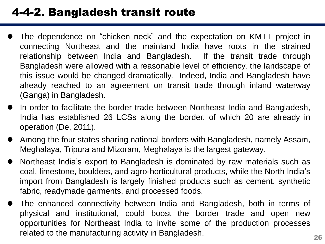#### 4-4-2. Bangladesh transit route

- The dependence on "chicken neck" and the expectation on KMTT project in connecting Northeast and the mainland India have roots in the strained relationship between India and Bangladesh. If the transit trade through Bangladesh were allowed with a reasonable level of efficiency, the landscape of this issue would be changed dramatically. Indeed, India and Bangladesh have already reached to an agreement on transit trade through inland waterway (Ganga) in Bangladesh.
- In order to facilitate the border trade between Northeast India and Bangladesh, India has established 26 LCSs along the border, of which 20 are already in operation (De, 2011).
- Among the four states sharing national borders with Bangladesh, namely Assam, Meghalaya, Tripura and Mizoram, Meghalaya is the largest gateway.
- Northeast India's export to Bangladesh is dominated by raw materials such as coal, limestone, boulders, and agro-horticultural products, while the North India's import from Bangladesh is largely finished products such as cement, synthetic fabric, readymade garments, and processed foods.
- The enhanced connectivity between India and Bangladesh, both in terms of physical and institutional, could boost the border trade and open new opportunities for Northeast India to invite some of the production processes related to the manufacturing activity in Bangladesh.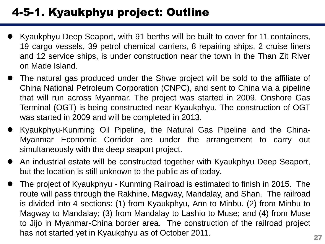# 4-5-1. Kyaukphyu project: Outline

- Kyaukphyu Deep Seaport, with 91 berths will be built to cover for 11 containers, 19 cargo vessels, 39 petrol chemical carriers, 8 repairing ships, 2 cruise liners and 12 service ships, is under construction near the town in the Than Zit River on Made Island.
- The natural gas produced under the Shwe project will be sold to the affiliate of China National Petroleum Corporation (CNPC), and sent to China via a pipeline that will run across Myanmar. The project was started in 2009. Onshore Gas Terminal (OGT) is being constructed near Kyaukphyu. The construction of OGT was started in 2009 and will be completed in 2013.
- Kyaukphyu-Kunming Oil Pipeline, the Natural Gas Pipeline and the China-Myanmar Economic Corridor are under the arrangement to carry out simultaneously with the deep seaport project.
- An industrial estate will be constructed together with Kyaukphyu Deep Seaport, but the location is still unknown to the public as of today.
- The project of Kyaukphyu Kunming Railroad is estimated to finish in 2015. The route will pass through the Rakhine, Magway, Mandalay, and Shan. The railroad is divided into 4 sections: (1) from Kyaukphyu, Ann to Minbu. (2) from Minbu to Magway to Mandalay; (3) from Mandalay to Lashio to Muse; and (4) from Muse to Jijo in Myanmar-China border area. The construction of the railroad project has not started yet in Kyaukphyu as of October 2011.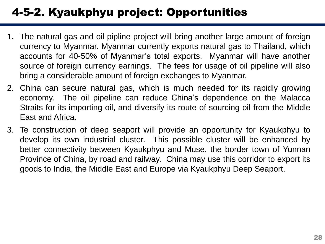# 4-5-2. Kyaukphyu project: Opportunities

- 1. The natural gas and oil pipline project will bring another large amount of foreign currency to Myanmar. Myanmar currently exports natural gas to Thailand, which accounts for 40-50% of Myanmar's total exports. Myanmar will have another source of foreign currency earnings. The fees for usage of oil pipeline will also bring a considerable amount of foreign exchanges to Myanmar.
- 2. China can secure natural gas, which is much needed for its rapidly growing economy. The oil pipeline can reduce China's dependence on the Malacca Straits for its importing oil, and diversify its route of sourcing oil from the Middle East and Africa.
- 3. Te construction of deep seaport will provide an opportunity for Kyaukphyu to develop its own industrial cluster. This possible cluster will be enhanced by better connectivity between Kyaukphyu and Muse, the border town of Yunnan Province of China, by road and railway. China may use this corridor to export its goods to India, the Middle East and Europe via Kyaukphyu Deep Seaport.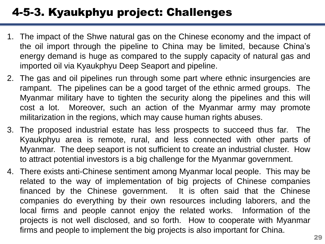# 4-5-3. Kyaukphyu project: Challenges

- 1. The impact of the Shwe natural gas on the Chinese economy and the impact of the oil import through the pipeline to China may be limited, because China's energy demand is huge as compared to the supply capacity of natural gas and imported oil via Kyaukphyu Deep Seaport and pipeline.
- 2. The gas and oil pipelines run through some part where ethnic insurgencies are rampant. The pipelines can be a good target of the ethnic armed groups. The Myanmar military have to tighten the security along the pipelines and this will cost a lot. Moreover, such an action of the Myanmar army may promote militarization in the regions, which may cause human rights abuses.
- 3. The proposed industrial estate has less prospects to succeed thus far. The Kyaukphyu area is remote, rural, and less connected with other parts of Myanmar. The deep seaport is not sufficient to create an industrial cluster. How to attract potential investors is a big challenge for the Myanmar government.
- 4. There exists anti-Chinese sentiment among Myanmar local people. This may be related to the way of implementation of big projects of Chinese companies financed by the Chinese government. It is often said that the Chinese companies do everything by their own resources including laborers, and the local firms and people cannot enjoy the related works. Information of the projects is not well disclosed, and so forth. How to cooperate with Myanmar firms and people to implement the big projects is also important for China.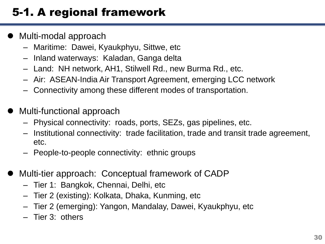# 5-1. A regional framework

- Multi-modal approach
	- Maritime: Dawei, Kyaukphyu, Sittwe, etc
	- Inland waterways: Kaladan, Ganga delta
	- Land: NH network, AH1, Stilwell Rd., new Burma Rd., etc.
	- Air: ASEAN-India Air Transport Agreement, emerging LCC network
	- Connectivity among these different modes of transportation.
- Multi-functional approach
	- Physical connectivity: roads, ports, SEZs, gas pipelines, etc.
	- Institutional connectivity: trade facilitation, trade and transit trade agreement, etc.
	- People-to-people connectivity: ethnic groups
- Multi-tier approach: Conceptual framework of CADP
	- Tier 1: Bangkok, Chennai, Delhi, etc
	- Tier 2 (existing): Kolkata, Dhaka, Kunming, etc
	- Tier 2 (emerging): Yangon, Mandalay, Dawei, Kyaukphyu, etc
	- Tier 3: others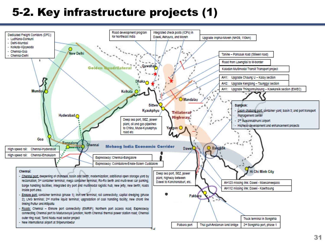## 5-2. Key infrastructure projects (1)

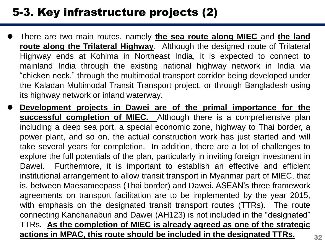## 5-3. Key infrastructure projects (2)

- There are two main routes, namely **the sea route along MIEC** and **the land route along the Trilateral Highway**. Although the designed route of Trilateral Highway ends at Kohima in Northeast India, it is expected to connect to mainland India through the existing national highway network in India via "chicken neck," through the multimodal transport corridor being developed under the Kaladan Multimodal Transit Transport project, or through Bangladesh using its highway network or inland waterway.
- **Development projects in Dawei are of the primal importance for the successful completion of MIEC.** Although there is a comprehensive plan including a deep sea port, a special economic zone, highway to Thai border, a power plant, and so on, the actual construction work has just started and will take several years for completion. In addition, there are a lot of challenges to explore the full potentials of the plan, particularly in inviting foreign investment in Dawei. Furthermore, it is important to establish an effective and efficient institutional arrangement to allow transit transport in Myanmar part of MIEC, that is, between Maesameepass (Thai border) and Dawei. ASEAN's three framework agreements on transport facilitation are to be implemented by the year 2015, with emphasis on the designated transit transport routes (TTRs). The route connecting Kanchanaburi and Dawei (AH123) is not included in the "designated" TTRs**. As the completion of MIEC is already agreed as one of the strategic actions in MPAC, this route should be included in the designated TTRs.** <sup>32</sup>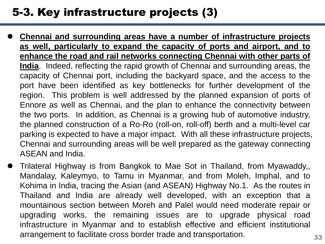#### 5-3. Key infrastructure projects (3)

- **Chennai and surrounding areas have a number of infrastructure projects as well, particularly to expand the capacity of ports and airport, and to enhance the road and rail networks connecting Chennai with other parts of India**. Indeed, reflecting the rapid growth of Chennai and surrounding areas, the capacity of Chennai port, including the backyard space, and the access to the port have been identified as key bottlenecks for further development of the region. This problem is well addressed by the planned expansion of ports of Ennore as well as Chennai, and the plan to enhance the connectivity between the two ports. In addition, as Chennai is a growing hub of automotive industry, the planned construction of a Ro-Ro (roll-on, roll-off) berth and a multi-level car parking is expected to have a major impact. With all these infrastructure projects, Chennai and surrounding areas will be well prepared as the gateway connecting ASEAN and India.
- Trilateral Highway is from Bangkok to Mae Sot in Thailand, from Myawaddy,, Mandalay, Kaleymyo, to Tamu in Myanmar, and from Moleh, Imphal, and to Kohima in India, tracing the Asian (and ASEAN) Highway No.1. As the routes in Thailand and India are already well developed, with an exception that a mountainous section between Moreh and Palel would need moderate repair or upgrading works, the remaining issues are to upgrade physical road infrastructure in Myanmar and to establish effective and efficient institutional arrangement to facilitate cross border trade and transportation.